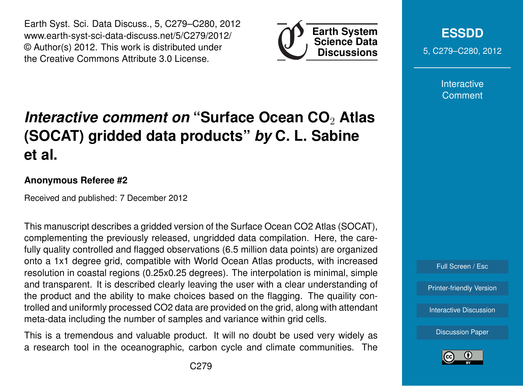Earth Syst. Sci. Data Discuss., 5, C279–C280, 2012 www.earth-syst-sci-data-discuss.net/5/C279/2012/ © Author(s) 2012. This work is distributed under the Creative Commons Attribute 3.0 License.



**[ESSDD](http://www.earth-syst-sci-data-discuss.net)** 5, C279–C280, 2012

> **Interactive Comment**

## *Interactive comment on* **"Surface Ocean CO**<sup>2</sup> **Atlas (SOCAT) gridded data products"** *by* **C. L. Sabine et al.**

## **Anonymous Referee #2**

Received and published: 7 December 2012

This manuscript describes a gridded version of the Surface Ocean CO2 Atlas (SOCAT), complementing the previously released, ungridded data compilation. Here, the carefully quality controlled and flagged observations (6.5 million data points) are organized onto a 1x1 degree grid, compatible with World Ocean Atlas products, with increased resolution in coastal regions (0.25x0.25 degrees). The interpolation is minimal, simple and transparent. It is described clearly leaving the user with a clear understanding of the product and the ability to make choices based on the flagging. The quaility controlled and uniformly processed CO2 data are provided on the grid, along with attendant meta-data including the number of samples and variance within grid cells.

This is a tremendous and valuable product. It will no doubt be used very widely as a research tool in the oceanographic, carbon cycle and climate communities. The



[Discussion Paper](http://www.earth-syst-sci-data-discuss.net/5/781/2012/essdd-5-781-2012.pdf)